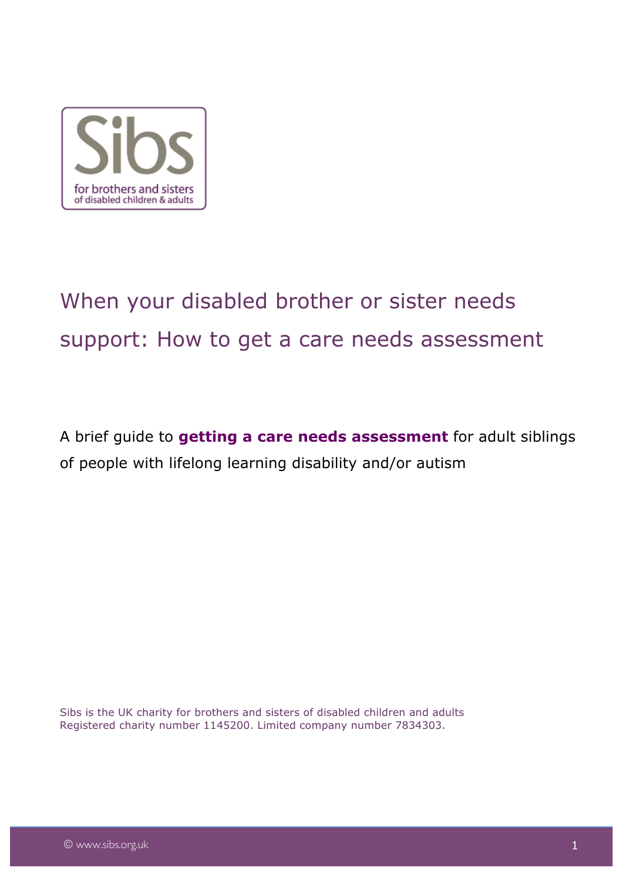

# When your disabled brother or sister needs support: How to get a care needs assessment

A brief guide to **getting a care needs assessment** for adult siblings of people with lifelong learning disability and/or autism

Sibs is the UK charity for brothers and sisters of disabled children and adults Registered charity number 1145200. Limited company number 7834303.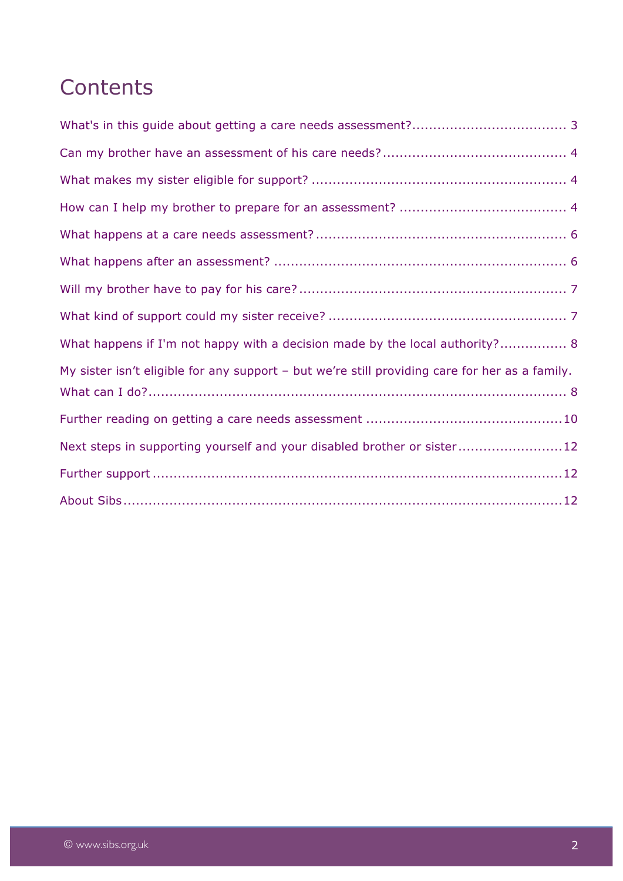## **Contents**

| What happens if I'm not happy with a decision made by the local authority? 8                   |
|------------------------------------------------------------------------------------------------|
| My sister isn't eligible for any support - but we're still providing care for her as a family. |
|                                                                                                |
|                                                                                                |
| Next steps in supporting yourself and your disabled brother or sister12                        |
|                                                                                                |
|                                                                                                |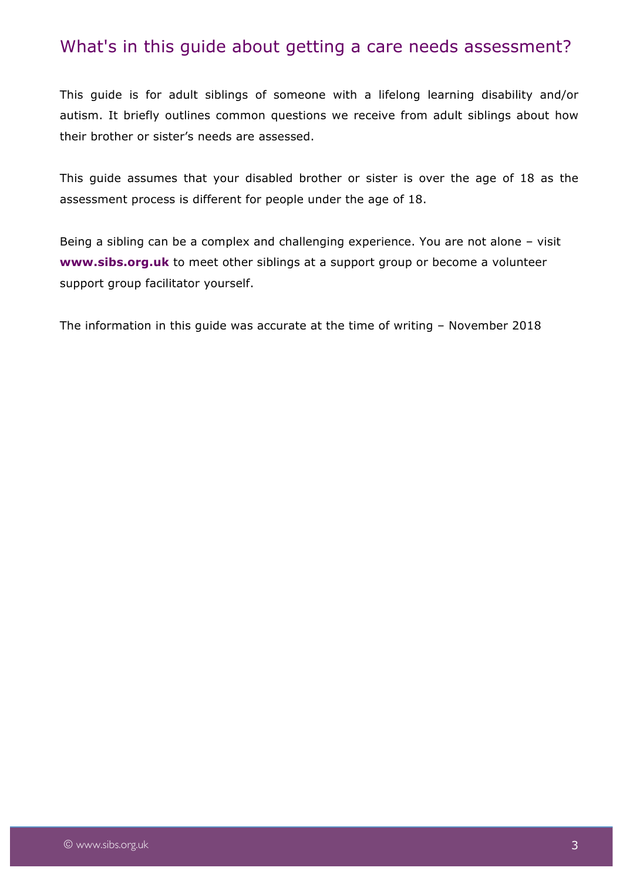#### What's in this guide about getting a care needs assessment?

This guide is for adult siblings of someone with a lifelong learning disability and/or autism. It briefly outlines common questions we receive from adult siblings about how their brother or sister's needs are assessed.

This guide assumes that your disabled brother or sister is over the age of 18 as the assessment process is different for people under the age of 18.

Being a sibling can be a complex and challenging experience. You are not alone – visit **www.sibs.org.uk** to meet other siblings at a support group or become a volunteer support group facilitator yourself.

The information in this guide was accurate at the time of writing – November 2018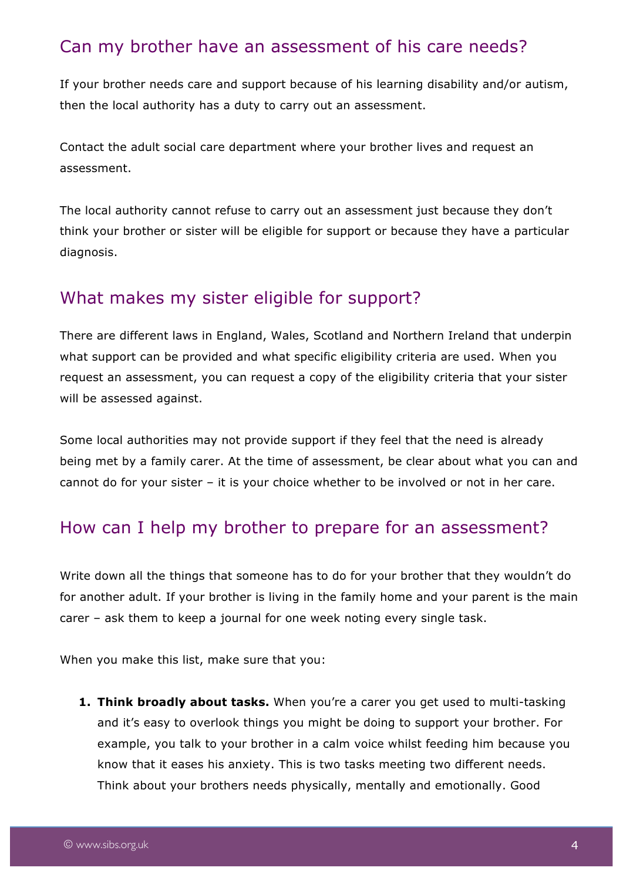#### Can my brother have an assessment of his care needs?

If your brother needs care and support because of his learning disability and/or autism, then the local authority has a duty to carry out an assessment.

Contact the adult social care department where your brother lives and request an assessment.

The local authority cannot refuse to carry out an assessment just because they don't think your brother or sister will be eligible for support or because they have a particular diagnosis.

#### What makes my sister eligible for support?

There are different laws in England, Wales, Scotland and Northern Ireland that underpin what support can be provided and what specific eligibility criteria are used. When you request an assessment, you can request a copy of the eligibility criteria that your sister will be assessed against.

Some local authorities may not provide support if they feel that the need is already being met by a family carer. At the time of assessment, be clear about what you can and cannot do for your sister – it is your choice whether to be involved or not in her care.

#### How can I help my brother to prepare for an assessment?

Write down all the things that someone has to do for your brother that they wouldn't do for another adult. If your brother is living in the family home and your parent is the main carer – ask them to keep a journal for one week noting every single task.

When you make this list, make sure that you:

**1. Think broadly about tasks.** When you're a carer you get used to multi-tasking and it's easy to overlook things you might be doing to support your brother. For example, you talk to your brother in a calm voice whilst feeding him because you know that it eases his anxiety. This is two tasks meeting two different needs. Think about your brothers needs physically, mentally and emotionally. Good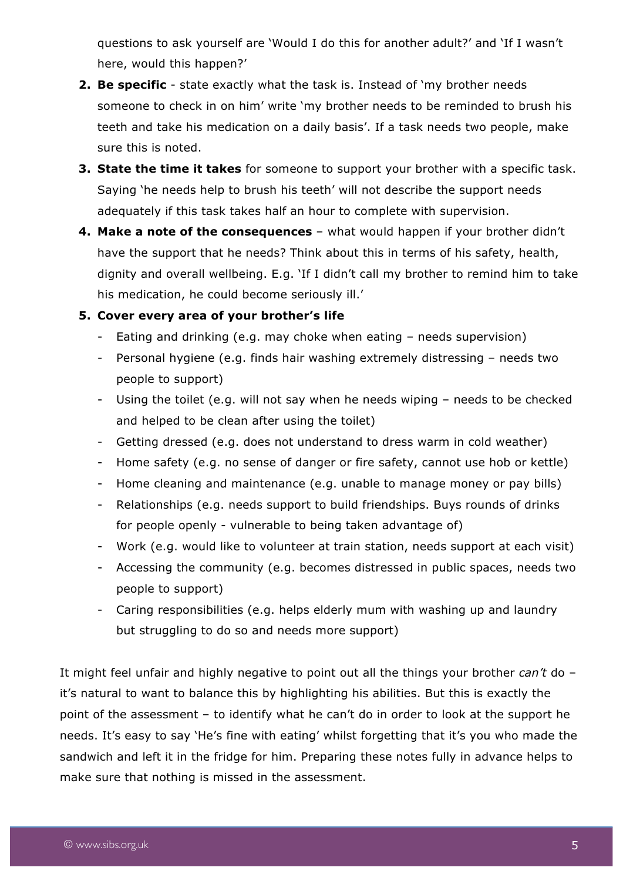questions to ask yourself are 'Would I do this for another adult?' and 'If I wasn't here, would this happen?'

- **2. Be specific** state exactly what the task is. Instead of 'my brother needs someone to check in on him' write 'my brother needs to be reminded to brush his teeth and take his medication on a daily basis'. If a task needs two people, make sure this is noted.
- **3. State the time it takes** for someone to support your brother with a specific task. Saying 'he needs help to brush his teeth' will not describe the support needs adequately if this task takes half an hour to complete with supervision.
- **4. Make a note of the consequences**  what would happen if your brother didn't have the support that he needs? Think about this in terms of his safety, health, dignity and overall wellbeing. E.g. 'If I didn't call my brother to remind him to take his medication, he could become seriously ill.'

#### **5. Cover every area of your brother's life**

- Eating and drinking (e.g. may choke when eating needs supervision)
- Personal hygiene (e.g. finds hair washing extremely distressing needs two people to support)
- Using the toilet (e.g. will not say when he needs wiping needs to be checked and helped to be clean after using the toilet)
- Getting dressed (e.g. does not understand to dress warm in cold weather)
- Home safety (e.g. no sense of danger or fire safety, cannot use hob or kettle)
- Home cleaning and maintenance (e.g. unable to manage money or pay bills)
- Relationships (e.g. needs support to build friendships. Buys rounds of drinks for people openly - vulnerable to being taken advantage of)
- Work (e.g. would like to volunteer at train station, needs support at each visit)
- Accessing the community (e.g. becomes distressed in public spaces, needs two people to support)
- Caring responsibilities (e.g. helps elderly mum with washing up and laundry but struggling to do so and needs more support)

It might feel unfair and highly negative to point out all the things your brother *can't* do – it's natural to want to balance this by highlighting his abilities. But this is exactly the point of the assessment – to identify what he can't do in order to look at the support he needs. It's easy to say 'He's fine with eating' whilst forgetting that it's you who made the sandwich and left it in the fridge for him. Preparing these notes fully in advance helps to make sure that nothing is missed in the assessment.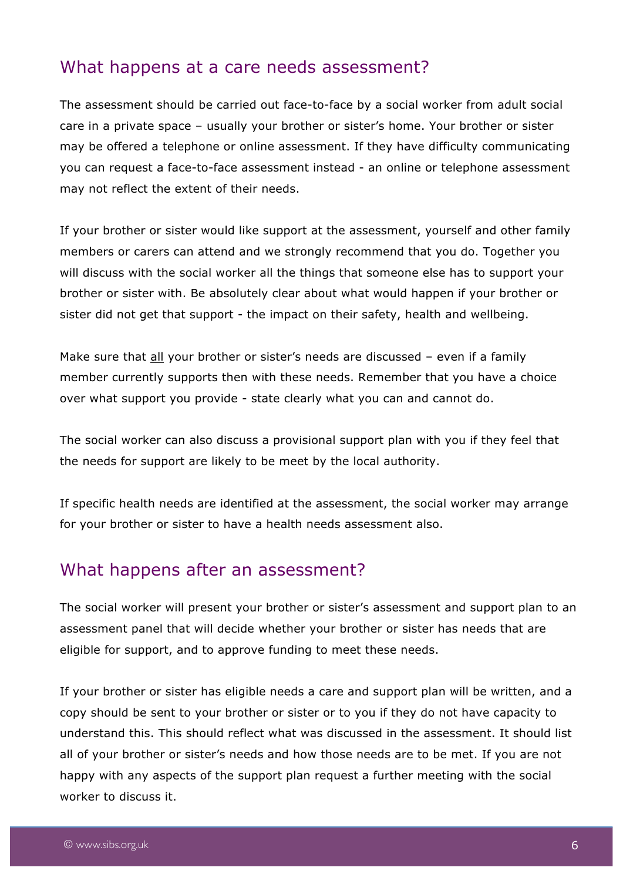#### What happens at a care needs assessment?

The assessment should be carried out face-to-face by a social worker from adult social care in a private space – usually your brother or sister's home. Your brother or sister may be offered a telephone or online assessment. If they have difficulty communicating you can request a face-to-face assessment instead - an online or telephone assessment may not reflect the extent of their needs.

If your brother or sister would like support at the assessment, yourself and other family members or carers can attend and we strongly recommend that you do. Together you will discuss with the social worker all the things that someone else has to support your brother or sister with. Be absolutely clear about what would happen if your brother or sister did not get that support - the impact on their safety, health and wellbeing.

Make sure that all your brother or sister's needs are discussed - even if a family member currently supports then with these needs. Remember that you have a choice over what support you provide - state clearly what you can and cannot do.

The social worker can also discuss a provisional support plan with you if they feel that the needs for support are likely to be meet by the local authority.

If specific health needs are identified at the assessment, the social worker may arrange for your brother or sister to have a health needs assessment also.

#### What happens after an assessment?

The social worker will present your brother or sister's assessment and support plan to an assessment panel that will decide whether your brother or sister has needs that are eligible for support, and to approve funding to meet these needs.

If your brother or sister has eligible needs a care and support plan will be written, and a copy should be sent to your brother or sister or to you if they do not have capacity to understand this. This should reflect what was discussed in the assessment. It should list all of your brother or sister's needs and how those needs are to be met. If you are not happy with any aspects of the support plan request a further meeting with the social worker to discuss it.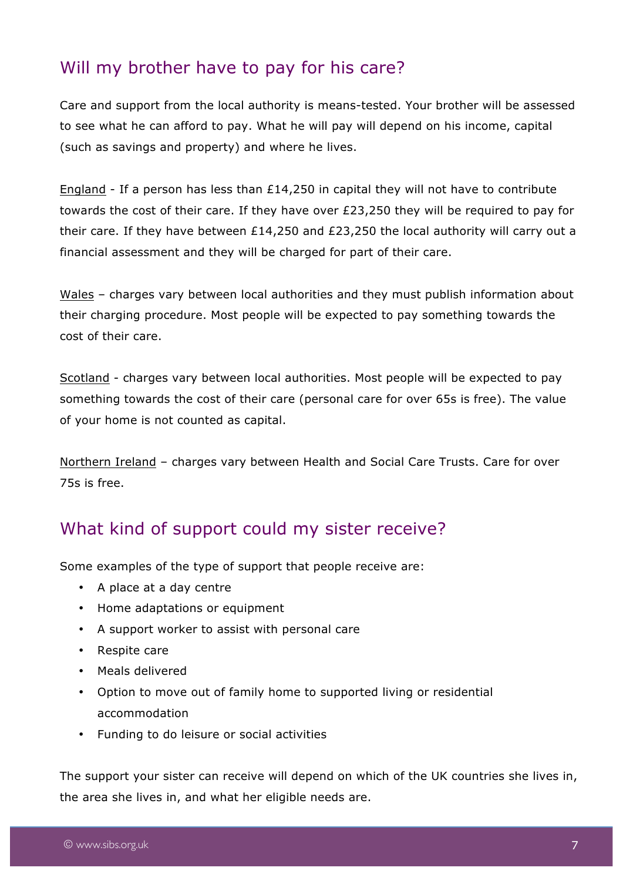### Will my brother have to pay for his care?

Care and support from the local authority is means-tested. Your brother will be assessed to see what he can afford to pay. What he will pay will depend on his income, capital (such as savings and property) and where he lives.

England - If a person has less than £14,250 in capital they will not have to contribute towards the cost of their care. If they have over £23,250 they will be required to pay for their care. If they have between £14,250 and £23,250 the local authority will carry out a financial assessment and they will be charged for part of their care.

Wales – charges vary between local authorities and they must publish information about their charging procedure. Most people will be expected to pay something towards the cost of their care.

Scotland - charges vary between local authorities. Most people will be expected to pay something towards the cost of their care (personal care for over 65s is free). The value of your home is not counted as capital.

Northern Ireland – charges vary between Health and Social Care Trusts. Care for over 75s is free.

### What kind of support could my sister receive?

Some examples of the type of support that people receive are:

- A place at a day centre
- Home adaptations or equipment
- A support worker to assist with personal care
- Respite care
- Meals delivered
- Option to move out of family home to supported living or residential accommodation
- Funding to do leisure or social activities

The support your sister can receive will depend on which of the UK countries she lives in, the area she lives in, and what her eligible needs are.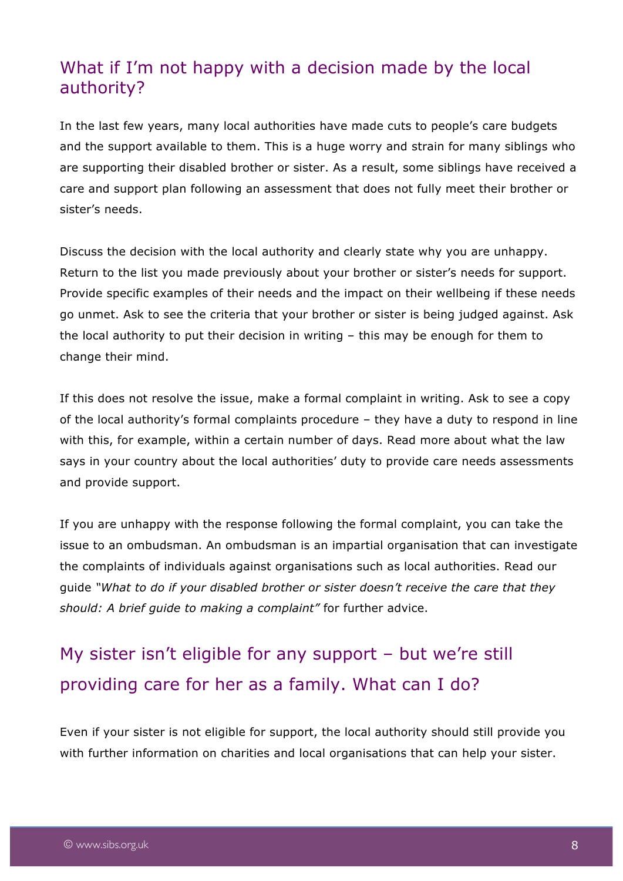### What if I'm not happy with a decision made by the local authority?

In the last few years, many local authorities have made cuts to people's care budgets and the support available to them. This is a huge worry and strain for many siblings who are supporting their disabled brother or sister. As a result, some siblings have received a care and support plan following an assessment that does not fully meet their brother or sister's needs.

Discuss the decision with the local authority and clearly state why you are unhappy. Return to the list you made previously about your brother or sister's needs for support. Provide specific examples of their needs and the impact on their wellbeing if these needs go unmet. Ask to see the criteria that your brother or sister is being judged against. Ask the local authority to put their decision in writing – this may be enough for them to change their mind.

If this does not resolve the issue, make a formal complaint in writing. Ask to see a copy of the local authority's formal complaints procedure – they have a duty to respond in line with this, for example, within a certain number of days. Read more about what the law says in your country about the local authorities' duty to provide care needs assessments and provide support.

If you are unhappy with the response following the formal complaint, you can take the issue to an ombudsman. An ombudsman is an impartial organisation that can investigate the complaints of individuals against organisations such as local authorities. Read our guide *"What to do if your disabled brother or sister doesn't receive the care that they should: A brief guide to making a complaint"* for further advice.

### My sister isn't eligible for any support – but we're still providing care for her as a family. What can I do?

Even if your sister is not eligible for support, the local authority should still provide you with further information on charities and local organisations that can help your sister.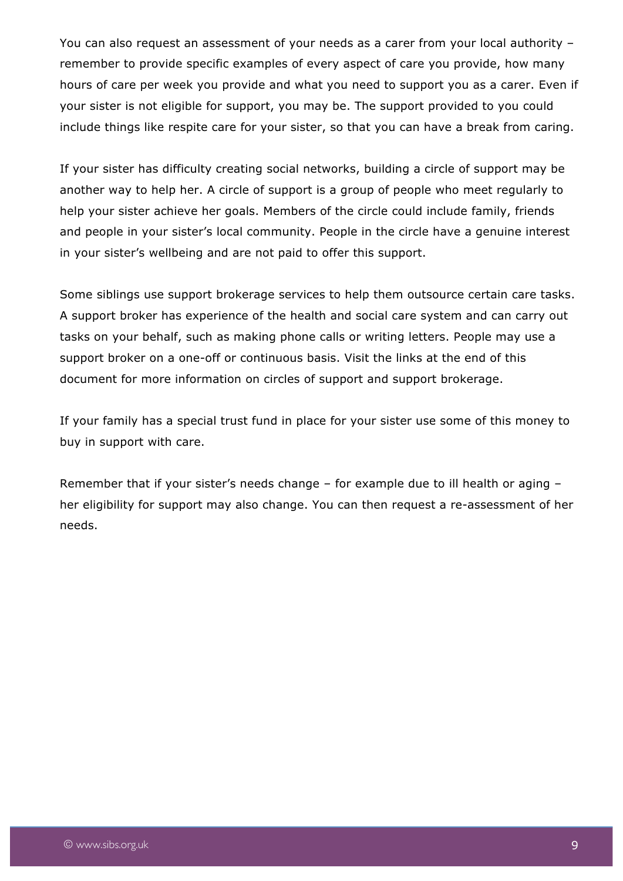You can also request an assessment of your needs as a carer from your local authority – remember to provide specific examples of every aspect of care you provide, how many hours of care per week you provide and what you need to support you as a carer. Even if your sister is not eligible for support, you may be. The support provided to you could include things like respite care for your sister, so that you can have a break from caring.

If your sister has difficulty creating social networks, building a circle of support may be another way to help her. A circle of support is a group of people who meet regularly to help your sister achieve her goals. Members of the circle could include family, friends and people in your sister's local community. People in the circle have a genuine interest in your sister's wellbeing and are not paid to offer this support.

Some siblings use support brokerage services to help them outsource certain care tasks. A support broker has experience of the health and social care system and can carry out tasks on your behalf, such as making phone calls or writing letters. People may use a support broker on a one-off or continuous basis. Visit the links at the end of this document for more information on circles of support and support brokerage.

If your family has a special trust fund in place for your sister use some of this money to buy in support with care.

Remember that if your sister's needs change – for example due to ill health or aging – her eligibility for support may also change. You can then request a re-assessment of her needs.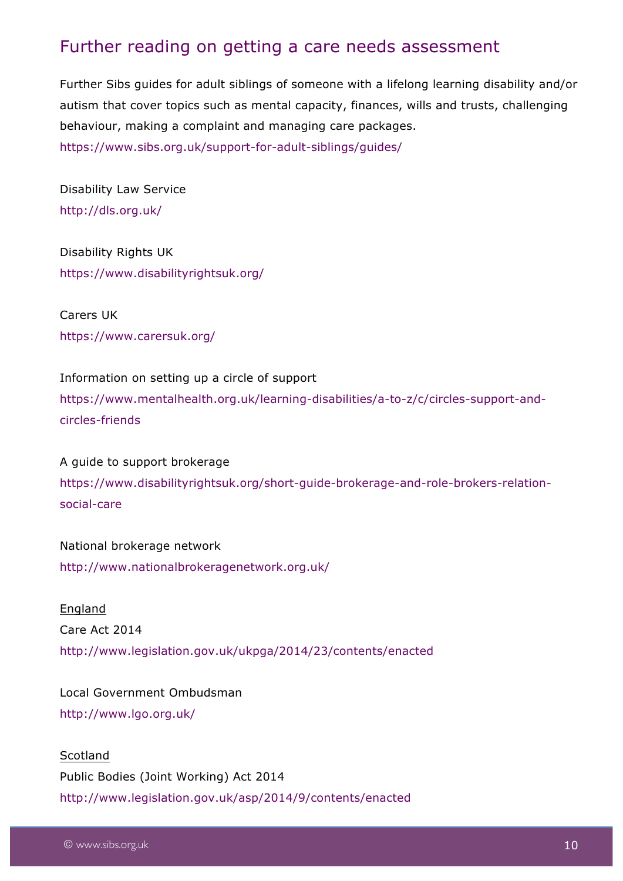#### Further reading on getting a care needs assessment

Further Sibs guides for adult siblings of someone with a lifelong learning disability and/or autism that cover topics such as mental capacity, finances, wills and trusts, challenging behaviour, making a complaint and managing care packages. https://www.sibs.org.uk/support-for-adult-siblings/guides/

Disability Law Service http://dls.org.uk/

Disability Rights UK https://www.disabilityrightsuk.org/

Carers UK https://www.carersuk.org/

Information on setting up a circle of support https://www.mentalhealth.org.uk/learning-disabilities/a-to-z/c/circles-support-andcircles-friends

A guide to support brokerage https://www.disabilityrightsuk.org/short-guide-brokerage-and-role-brokers-relationsocial-care

National brokerage network http://www.nationalbrokeragenetwork.org.uk/

England Care Act 2014 http://www.legislation.gov.uk/ukpga/2014/23/contents/enacted

Local Government Ombudsman http://www.lgo.org.uk/

**Scotland** Public Bodies (Joint Working) Act 2014 http://www.legislation.gov.uk/asp/2014/9/contents/enacted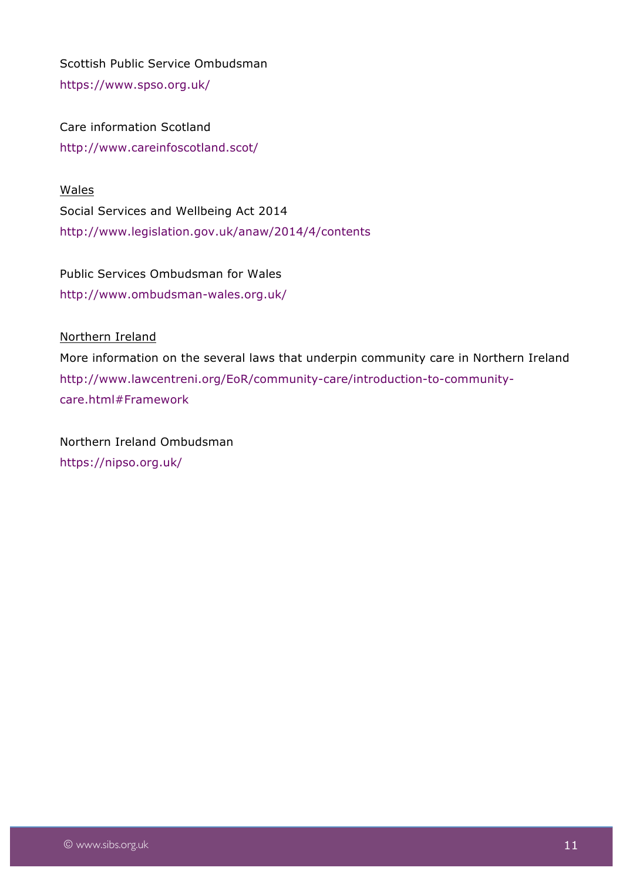Scottish Public Service Ombudsman https://www.spso.org.uk/

Care information Scotland http://www.careinfoscotland.scot/

Wales Social Services and Wellbeing Act 2014 http://www.legislation.gov.uk/anaw/2014/4/contents

Public Services Ombudsman for Wales http://www.ombudsman-wales.org.uk/

Northern Ireland

More information on the several laws that underpin community care in Northern Ireland http://www.lawcentreni.org/EoR/community-care/introduction-to-communitycare.html#Framework

Northern Ireland Ombudsman https://nipso.org.uk/